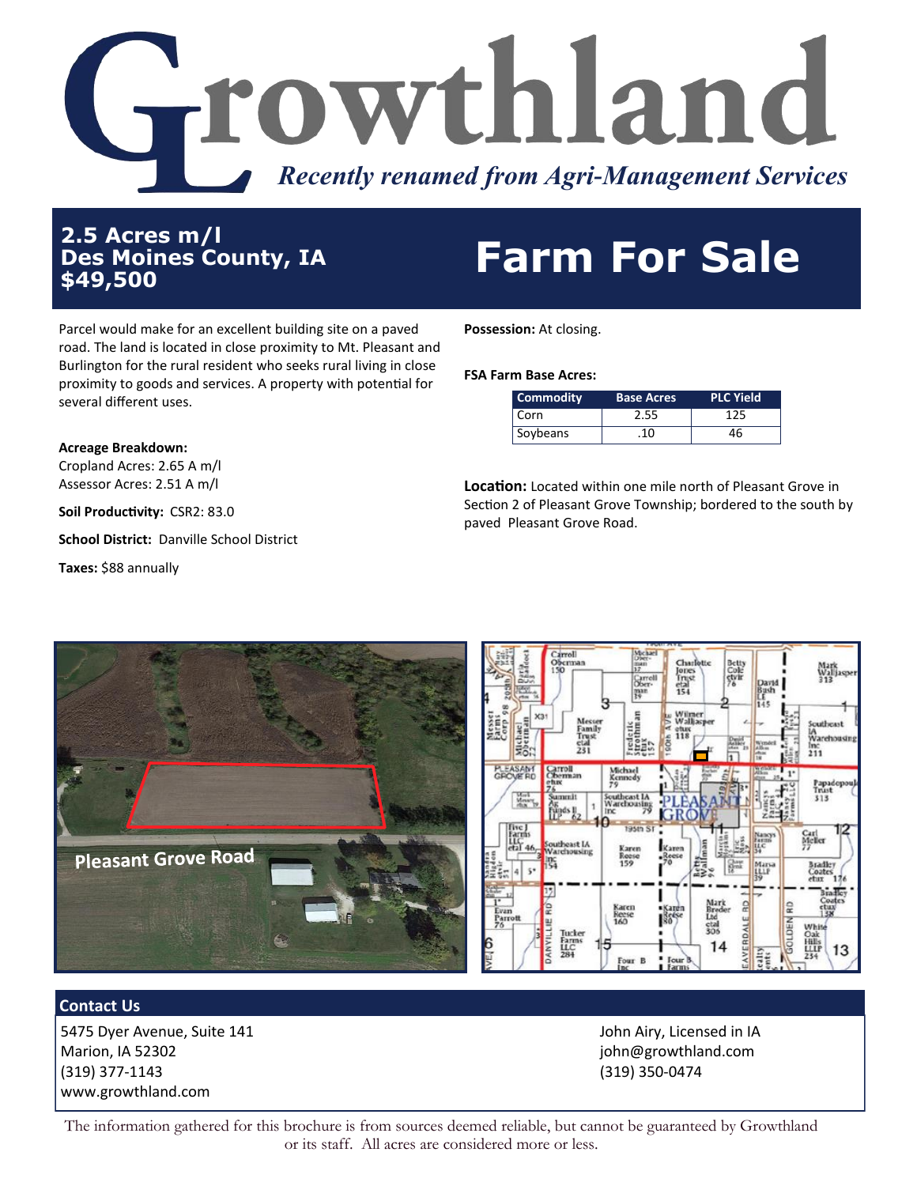

**2.5 Acres m/l Des Moines County, IA**

## 2.5 Acres m/1<br>Des Moines County, IA **Farm For Sale**

Parcel would make for an excellent building site on a paved road. The land is located in close proximity to Mt. Pleasant and Burlington for the rural resident who seeks rural living in close proximity to goods and services. A property with potential for several different uses.

**Possession:** At closing.

**FSA Farm Base Acres:**

| Commodity | <b>Base Acres</b> | <b>PLC Yield</b> |  |
|-----------|-------------------|------------------|--|
| l Corn    | 2.55              | 125              |  |
| Soybeans  | .10               | 46               |  |

**Location:** Located within one mile north of Pleasant Grove in Section 2 of Pleasant Grove Township; bordered to the south by paved Pleasant Grove Road.

**Acreage Breakdown:**

Cropland Acres: 2.65 A m/l Assessor Acres: 2.51 A m/l

**Soil Productivity:** CSR2: 83.0

**School District:** Danville School District

**Taxes:** \$88 annually



## **Contact Us**

5475 Dyer Avenue, Suite 141 Marion, IA 52302 (319) 377-1143 www.growthland.com

John Airy, Licensed in IA john@growthland.com (319) 350-0474

The information gathered for this brochure is from sources deemed reliable, but cannot be guaranteed by Growthland or its staff. All acres are considered more or less.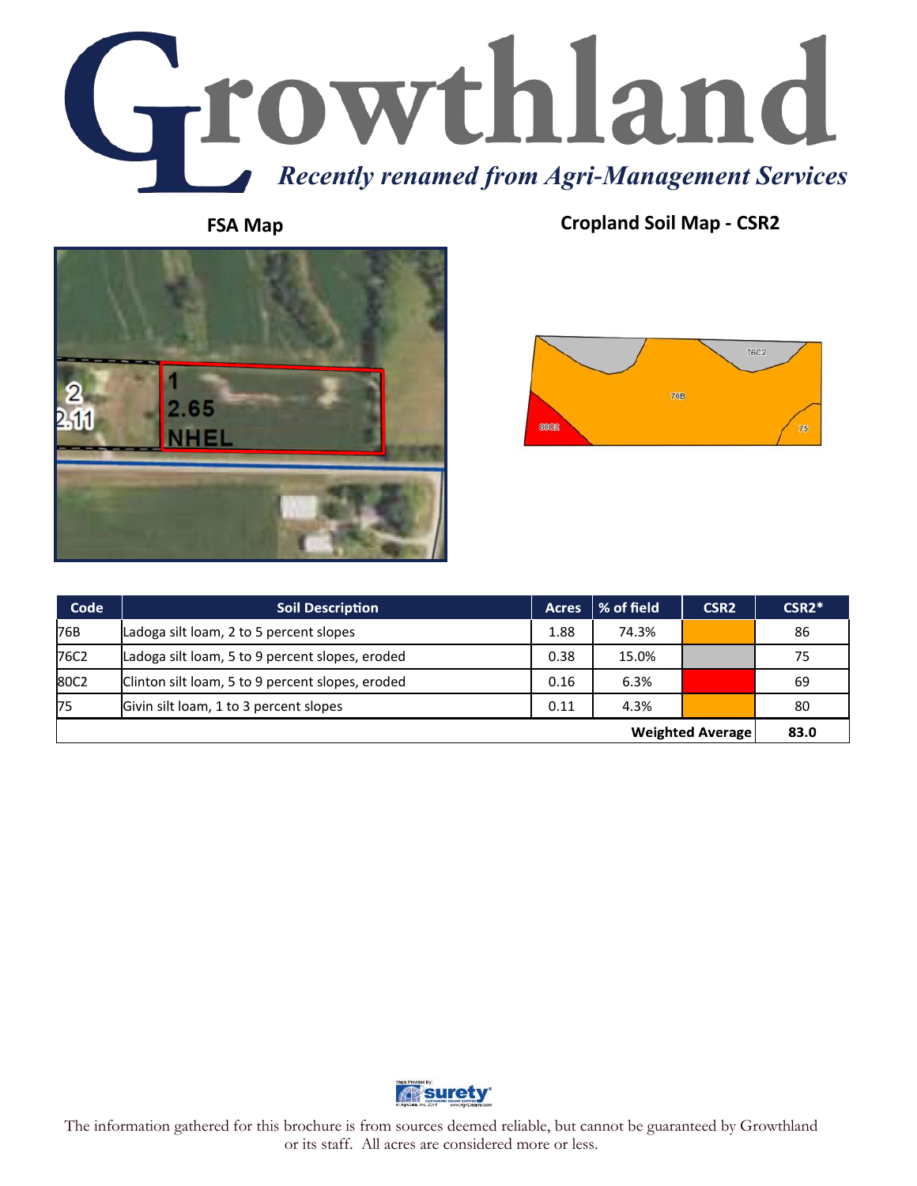



**FSA Map Cropland Soil Map - CSR2**



| Code                    | <b>Soil Description</b>                          | <b>Acres</b> | $\mid$ % of field | CSR <sub>2</sub> | $CSR2*$ |
|-------------------------|--------------------------------------------------|--------------|-------------------|------------------|---------|
| 76B                     | Ladoga silt loam, 2 to 5 percent slopes          | 1.88         | 74.3%             |                  | 86      |
| 76C2                    | Ladoga silt loam, 5 to 9 percent slopes, eroded  | 0.38         | 15.0%             |                  | 75      |
| 80C2                    | Clinton silt loam, 5 to 9 percent slopes, eroded | 0.16         | 6.3%              |                  | 69      |
| 75                      | Givin silt loam, 1 to 3 percent slopes           | 0.11         | 4.3%              |                  | 80      |
| <b>Weighted Average</b> |                                                  |              |                   | 83.0             |         |



The information gathered for this brochure is from sources deemed reliable, but cannot be guaranteed by Growthland or its staff. All acres are considered more or less.